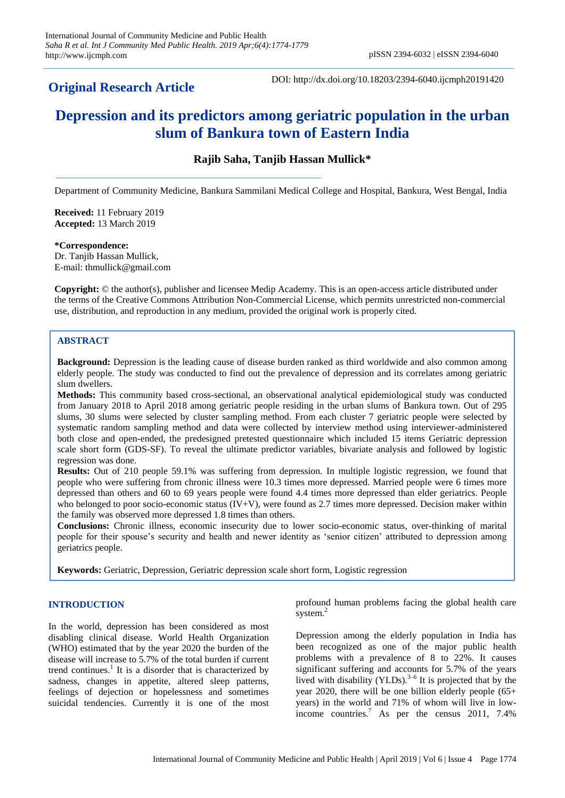# **Original Research Article**

DOI: http://dx.doi.org/10.18203/2394-6040.ijcmph20191420

# **Depression and its predictors among geriatric population in the urban slum of Bankura town of Eastern India**

# **Rajib Saha, Tanjib Hassan Mullick\***

Department of Community Medicine, Bankura Sammilani Medical College and Hospital, Bankura, West Bengal, India

**Received:** 11 February 2019 **Accepted:** 13 March 2019

#### **\*Correspondence:**

Dr. Tanjib Hassan Mullick, E-mail: thmullick@gmail.com

**Copyright:** © the author(s), publisher and licensee Medip Academy. This is an open-access article distributed under the terms of the Creative Commons Attribution Non-Commercial License, which permits unrestricted non-commercial use, distribution, and reproduction in any medium, provided the original work is properly cited.

#### **ABSTRACT**

**Background:** Depression is the leading cause of disease burden ranked as third worldwide and also common among elderly people. The study was conducted to find out the prevalence of depression and its correlates among geriatric slum dwellers.

**Methods:** This community based cross-sectional, an observational analytical epidemiological study was conducted from January 2018 to April 2018 among geriatric people residing in the urban slums of Bankura town. Out of 295 slums, 30 slums were selected by cluster sampling method. From each cluster 7 geriatric people were selected by systematic random sampling method and data were collected by interview method using interviewer-administered both close and open-ended, the predesigned pretested questionnaire which included 15 items Geriatric depression scale short form (GDS-SF). To reveal the ultimate predictor variables, bivariate analysis and followed by logistic regression was done.

**Results:** Out of 210 people 59.1% was suffering from depression. In multiple logistic regression, we found that people who were suffering from chronic illness were 10.3 times more depressed. Married people were 6 times more depressed than others and 60 to 69 years people were found 4.4 times more depressed than elder geriatrics. People who belonged to poor socio-economic status  $(V+V)$ , were found as 2.7 times more depressed. Decision maker within the family was observed more depressed 1.8 times than others.

**Conclusions:** Chronic illness, economic insecurity due to lower socio-economic status, over-thinking of marital people for their spouse's security and health and newer identity as 'senior citizen' attributed to depression among geriatrics people.

**Keywords:** Geriatric, Depression, Geriatric depression scale short form, Logistic regression

# **INTRODUCTION**

In the world, depression has been considered as most disabling clinical disease. World Health Organization (WHO) estimated that by the year 2020 the burden of the disease will increase to 5.7% of the total burden if current trend continues.<sup>1</sup> It is a disorder that is characterized by sadness, changes in appetite, altered sleep patterns, feelings of dejection or hopelessness and sometimes suicidal tendencies. Currently it is one of the most profound human problems facing the global health care system.<sup>2</sup>

Depression among the elderly population in India has been recognized as one of the major public health problems with a prevalence of 8 to 22%. It causes significant suffering and accounts for 5.7% of the years lived with disability  $(YLDs)$ .<sup>3-6</sup> It is projected that by the year 2020, there will be one billion elderly people (65+ years) in the world and 71% of whom will live in lowincome countries.<sup>7</sup> As per the census 2011, 7.4%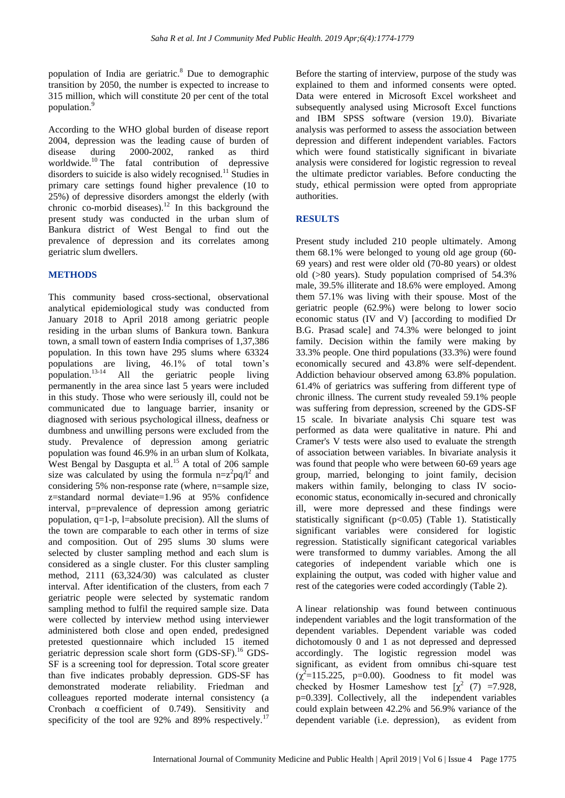population of India are geriatric.<sup>8</sup> Due to demographic transition by 2050, the number is expected to increase to 315 million, which will constitute 20 per cent of the total population.<sup>9</sup>

According to the WHO global burden of disease report 2004, depression was the leading cause of burden of disease during 2000-2002, ranked as third worldwide.<sup>10</sup> The fatal contribution of depressive disorders to suicide is also widely recognised.<sup>11</sup> Studies in primary care settings found higher prevalence (10 to 25%) of depressive disorders amongst the elderly (with chronic co-morbid diseases).<sup>12</sup> In this background the present study was conducted in the urban slum of Bankura district of West Bengal to find out the prevalence of depression and its correlates among geriatric slum dwellers.

## **METHODS**

This community based cross-sectional, observational analytical epidemiological study was conducted from January 2018 to April 2018 among geriatric people residing in the urban slums of Bankura town. Bankura town, a small town of eastern India comprises of 1,37,386 population. In this town have 295 slums where 63324 populations are living, 46.1% of total town's population.13-14 All the geriatric people living permanently in the area since last 5 years were included in this study. Those who were seriously ill, could not be communicated due to language barrier, insanity or diagnosed with serious psychological illness, deafness or dumbness and unwilling persons were excluded from the study. Prevalence of depression among geriatric population was found 46.9% in an urban slum of Kolkata, West Bengal by Dasgupta et al.<sup>15</sup> A total of 206 sample size was calculated by using the formula  $n=z^2pq/l^2$  and considering 5% non-response rate (where, n=sample size, z=standard normal deviate=1.96 at 95% confidence interval, p=prevalence of depression among geriatric population, q=1-p, l=absolute precision). All the slums of the town are comparable to each other in terms of size and composition. Out of 295 slums 30 slums were selected by cluster sampling method and each slum is considered as a single cluster. For this cluster sampling method, 2111 (63,324/30) was calculated as cluster interval. After identification of the clusters, from each 7 geriatric people were selected by systematic random sampling method to fulfil the required sample size. Data were collected by interview method using interviewer administered both close and open ended, predesigned pretested questionnaire which included 15 itemed geriatric depression scale short form (GDS-SF).<sup>16</sup> GDS-SF is a screening tool for depression. Total score greater than five indicates probably depression. GDS-SF has demonstrated moderate reliability. Friedman and colleagues reported moderate internal consistency (a Cronbach α coefficient of 0.749). Sensitivity and specificity of the tool are 92% and 89% respectively.<sup>17</sup> Before the starting of interview, purpose of the study was explained to them and informed consents were opted. Data were entered in Microsoft Excel worksheet and subsequently analysed using Microsoft Excel functions and IBM SPSS software (version 19.0). Bivariate analysis was performed to assess the association between depression and different independent variables. Factors which were found statistically significant in bivariate analysis were considered for logistic regression to reveal the ultimate predictor variables. Before conducting the study, ethical permission were opted from appropriate authorities.

# **RESULTS**

Present study included 210 people ultimately. Among them 68.1% were belonged to young old age group (60- 69 years) and rest were older old (70-80 years) or oldest old (>80 years). Study population comprised of 54.3% male, 39.5% illiterate and 18.6% were employed. Among them 57.1% was living with their spouse. Most of the geriatric people (62.9%) were belong to lower socio economic status (IV and V) [according to modified Dr B.G. Prasad scale] and 74.3% were belonged to joint family. Decision within the family were making by 33.3% people. One third populations (33.3%) were found economically secured and 43.8% were self-dependent. Addiction behaviour observed among 63.8% population. 61.4% of geriatrics was suffering from different type of chronic illness. The current study revealed 59.1% people was suffering from depression, screened by the GDS-SF 15 scale. In bivariate analysis Chi square test was performed as data were qualitative in nature. Phi and Cramer's V tests were also used to evaluate the strength of association between variables. In bivariate analysis it was found that people who were between 60-69 years age group, married, belonging to joint family, decision makers within family, belonging to class IV socioeconomic status, economically in-secured and chronically ill, were more depressed and these findings were statistically significant  $(p<0.05)$  (Table 1). Statistically significant variables were considered for logistic regression. Statistically significant categorical variables were transformed to dummy variables. Among the all categories of independent variable which one is explaining the output, was coded with higher value and rest of the categories were coded accordingly (Table 2).

A linear relationship was found between continuous independent variables and the logit transformation of the dependent variables. Dependent variable was coded dichotomously 0 and 1 as not depressed and depressed accordingly. The logistic regression model was significant, as evident from omnibus chi-square test  $(\chi^2=115.225, p=0.00)$ . Goodness to fit model was checked by Hosmer Lameshow test  $[\chi^2 (7) = 7.928]$ , p=0.339]. Collectively, all the independent variables could explain between 42.2% and 56.9% variance of the dependent variable (i.e. depression), as evident from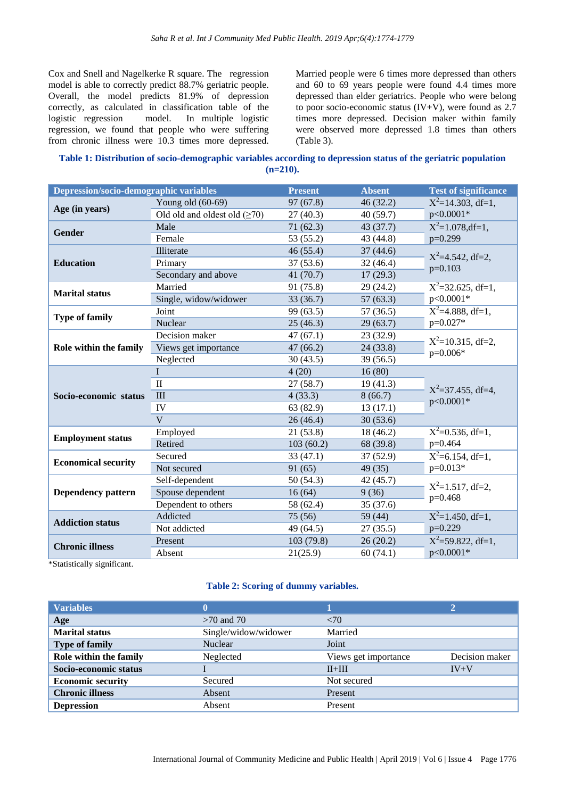Cox and Snell and Nagelkerke R square. The regression model is able to correctly predict 88.7% geriatric people. Overall, the model predicts 81.9% of depression correctly, as calculated in classification table of the logistic regression model. In multiple logistic regression, we found that people who were suffering from chronic illness were 10.3 times more depressed. Married people were 6 times more depressed than others and 60 to 69 years people were found 4.4 times more depressed than elder geriatrics. People who were belong to poor socio-economic status (IV+V), were found as 2.7 times more depressed. Decision maker within family were observed more depressed 1.8 times than others (Table 3).

# **Table 1: Distribution of socio-demographic variables according to depression status of the geriatric population (n=210).**

| <b>Depression/socio-demographic variables</b> |                                    | <b>Present</b> | <b>Absent</b> | <b>Test of significance</b>                  |  |  |
|-----------------------------------------------|------------------------------------|----------------|---------------|----------------------------------------------|--|--|
|                                               | Young old $(60-69)$                | 97(67.8)       | 46(32.2)      | $X^2$ =14.303, df=1,                         |  |  |
| Age (in years)                                | Old old and oldest old $(\geq 70)$ | 27(40.3)       | 40(59.7)      | p<0.0001*                                    |  |  |
| <b>Gender</b>                                 | Male                               | 71(62.3)       | 43 (37.7)     | $X^2=1.078$ , df=1,                          |  |  |
|                                               | Female                             | 53 (55.2)      | 43 (44.8)     | $p=0.299$                                    |  |  |
|                                               | Illiterate                         | 46(55.4)       | 37(44.6)      | $X^2=4.542$ , df=2,                          |  |  |
| <b>Education</b>                              | Primary                            | 37(53.6)       | 32(46.4)      | $p=0.103$                                    |  |  |
|                                               | Secondary and above                | 41(70.7)       | 17(29.3)      |                                              |  |  |
| <b>Marital status</b>                         | Married                            | 91 (75.8)      | 29(24.2)      | $X^2 = 32.625$ , df=1,                       |  |  |
|                                               | Single, widow/widower              | 33(36.7)       | 57(63.3)      | p<0.0001*                                    |  |  |
|                                               | Joint                              | 99 (63.5)      | 57(36.5)      | $X^2=4.888$ , df=1,<br>$p=0.027*$            |  |  |
| <b>Type of family</b>                         | Nuclear                            | 25(46.3)       | 29(63.7)      |                                              |  |  |
| Role within the family                        | Decision maker                     | 47(67.1)       | 23(32.9)      | $X^2$ =10.315, df=2,                         |  |  |
|                                               | Views get importance               | 47(66.2)       | 24(33.8)      | $p=0.006*$                                   |  |  |
|                                               | Neglected<br>30(43.5)<br>39(56.5)  |                |               |                                              |  |  |
|                                               | L                                  | 4(20)          | 16(80)        | $X^2 = 37.455$ , df=4,                       |  |  |
|                                               | $\mathbf{I}$                       | 27(58.7)       | 19(41.3)      |                                              |  |  |
| Socio-economic status                         | III                                | 4(33.3)        | 8(66.7)       | p<0.0001*                                    |  |  |
|                                               | IV                                 | 63 (82.9)      | 13(17.1)      |                                              |  |  |
|                                               | $\mathbf{V}$                       | 26(46.4)       | 30(53.6)      |                                              |  |  |
|                                               | Employed                           | 21(53.8)       | 18 (46.2)     | $X^2=0.536$ , df=1,<br>p=0.464               |  |  |
| <b>Employment status</b>                      | Retired                            | 103(60.2)      | 68 (39.8)     |                                              |  |  |
| <b>Economical security</b>                    | Secured                            | 33(47.1)       | 37(52.9)      | $\overline{X^2}$ =6.154, df=1,<br>$p=0.013*$ |  |  |
|                                               | Not secured                        | 91(65)         | 49(35)        |                                              |  |  |
| <b>Dependency pattern</b>                     | Self-dependent                     | 50(54.3)       | 42 (45.7)     | $X^2=1.517$ , df=2,<br>p=0.468               |  |  |
|                                               | Spouse dependent                   | 16(64)         | 9(36)         |                                              |  |  |
|                                               | Dependent to others                | 58 (62.4)      | 35 (37.6)     |                                              |  |  |
| <b>Addiction status</b>                       | Addicted                           | 75(56)         | 59(44)        | $X^2=1.450$ , df=1,                          |  |  |
|                                               | Not addicted                       | 49 (64.5)      | 27(35.5)      | $p=0.229$                                    |  |  |
| <b>Chronic illness</b>                        | Present                            | 103 (79.8)     | 26(20.2)      | $X^2 = 59.822$ , df=1,<br>p<0.0001*          |  |  |
|                                               | Absent                             | 21(25.9)       | 60(74.1)      |                                              |  |  |

\*Statistically significant.

#### **Table 2: Scoring of dummy variables.**

| <b>Variables</b>         |                      |                      | $\mathbf{2}$   |  |
|--------------------------|----------------------|----------------------|----------------|--|
| Age                      | $>70$ and $70$       | <70                  |                |  |
| <b>Marital status</b>    | Single/widow/widower | Married              |                |  |
| <b>Type of family</b>    | <b>Nuclear</b>       | Joint                |                |  |
| Role within the family   | Neglected            | Views get importance | Decision maker |  |
| Socio-economic status    |                      | $IV+V$<br>$II+III$   |                |  |
| <b>Economic security</b> | Secured              | Not secured          |                |  |
| <b>Chronic illness</b>   | Absent               | Present              |                |  |
| <b>Depression</b>        | Absent               | Present              |                |  |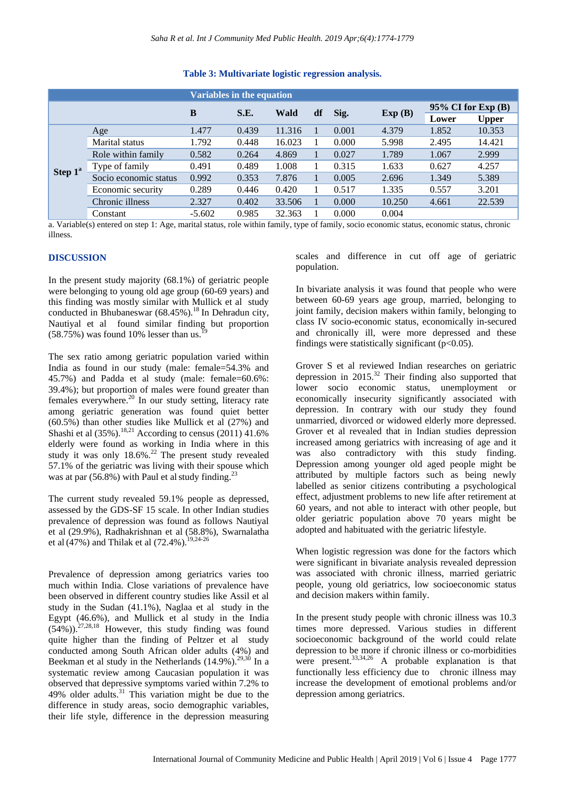|                     |                       | Variables in the equation |                            |        |        |                         |        |       |              |
|---------------------|-----------------------|---------------------------|----------------------------|--------|--------|-------------------------|--------|-------|--------------|
|                     |                       | B                         | S.E.<br>df<br>Sig.<br>Wald |        | Exp(B) | $95\%$ CI for Exp $(B)$ |        |       |              |
|                     |                       |                           |                            |        |        |                         |        | Lower | <b>Upper</b> |
| Step 1 <sup>a</sup> | Age                   | 1.477                     | 0.439                      | 11.316 |        | 0.001                   | 4.379  | 1.852 | 10.353       |
|                     | Marital status        | 1.792                     | 0.448                      | 16.023 |        | 0.000                   | 5.998  | 2.495 | 14.421       |
|                     | Role within family    | 0.582                     | 0.264                      | 4.869  |        | 0.027                   | 1.789  | 1.067 | 2.999        |
|                     | Type of family        | 0.491                     | 0.489                      | 1.008  |        | 0.315                   | 1.633  | 0.627 | 4.257        |
|                     | Socio economic status | 0.992                     | 0.353                      | 7.876  |        | 0.005                   | 2.696  | 1.349 | 5.389        |
|                     | Economic security     | 0.289                     | 0.446                      | 0.420  |        | 0.517                   | 1.335  | 0.557 | 3.201        |
|                     | Chronic illness       | 2.327                     | 0.402                      | 33.506 |        | 0.000                   | 10.250 | 4.661 | 22.539       |
|                     | Constant              | $-5.602$                  | 0.985                      | 32.363 |        | 0.000                   | 0.004  |       |              |

## **Table 3: Multivariate logistic regression analysis.**

a. Variable(s) entered on step 1: Age, marital status, role within family, type of family, socio economic status, economic status, chronic illness.

#### **DISCUSSION**

In the present study majority (68.1%) of geriatric people were belonging to young old age group (60-69 years) and this finding was mostly similar with Mullick et al study conducted in Bhubaneswar  $(68.45\%)$ .<sup>18</sup> In Dehradun city, Nautiyal et al found similar finding but proportion  $(58.75%)$  was found 10% lesser than us.

The sex ratio among geriatric population varied within India as found in our study (male: female=54.3% and 45.7%) and Padda et al study (male: female=60.6%: 39.4%); but proportion of males were found greater than females everywhere.<sup>20</sup> In our study setting, literacy rate among geriatric generation was found quiet better (60.5%) than other studies like Mullick et al (27%) and Shashi et al  $(35\%)$ .<sup>18,21</sup> According to census  $(2011)$  41.6% elderly were found as working in India where in this study it was only  $18.6\%$ .<sup>22</sup> The present study revealed 57.1% of the geriatric was living with their spouse which was at par  $(56.8\%)$  with Paul et al study finding.<sup>23</sup>

The current study revealed 59.1% people as depressed, assessed by the GDS-SF 15 scale. In other Indian studies prevalence of depression was found as follows Nautiyal et al (29.9%), Radhakrishnan et al (58.8%), Swarnalatha et al (47%) and Thilak et al (72.4%).<sup>19,24-26</sup>

Prevalence of depression among geriatrics varies too much within India. Close variations of prevalence have been observed in different country studies like Assil et al study in the Sudan (41.1%), Naglaa et al study in the Egypt (46.6%), and Mullick et al study in the India  $(54\%)$ .  $^{27,28,18}$  However, this study finding was found quite higher than the finding of Peltzer et al study conducted among South African older adults (4%) and Beekman et al study in the Netherlands  $(14.9\%)$ .<sup>29,30</sup> In a systematic review among Caucasian population it was observed that depressive symptoms varied within 7.2% to 49% older adults.<sup>31</sup> This variation might be due to the difference in study areas, socio demographic variables, their life style, difference in the depression measuring scales and difference in cut off age of geriatric population.

In bivariate analysis it was found that people who were between 60-69 years age group, married, belonging to joint family, decision makers within family, belonging to class IV socio-economic status, economically in-secured and chronically ill, were more depressed and these findings were statistically significant  $(p<0.05)$ .

Grover S et al reviewed Indian researches on geriatric depression in  $2015^{32}$  Their finding also supported that lower socio economic status, unemployment or economically insecurity significantly associated with depression. In contrary with our study they found unmarried, divorced or widowed elderly more depressed. Grover et al revealed that in Indian studies depression increased among geriatrics with increasing of age and it was also contradictory with this study finding. Depression among younger old aged people might be attributed by multiple factors such as being newly labelled as senior citizens contributing a psychological effect, adjustment problems to new life after retirement at 60 years, and not able to interact with other people, but older geriatric population above 70 years might be adopted and habituated with the geriatric lifestyle.

When logistic regression was done for the factors which were significant in bivariate analysis revealed depression was associated with chronic illness, married geriatric people, young old geriatrics, low socioeconomic status and decision makers within family.

In the present study people with chronic illness was 10.3 times more depressed. Various studies in different socioeconomic background of the world could relate depression to be more if chronic illness or co-morbidities were present.  $33,34,26$  A probable explanation is that functionally less efficiency due to chronic illness may increase the development of emotional problems and/or depression among geriatrics.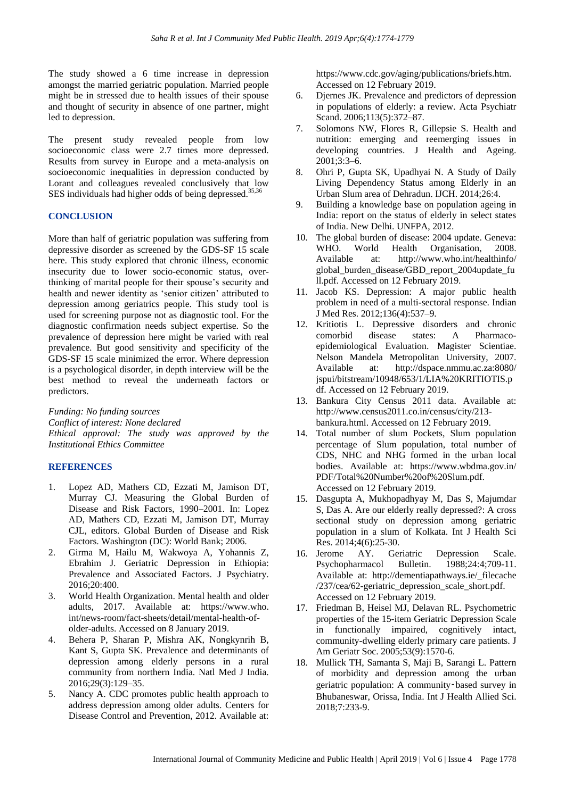The study showed a 6 time increase in depression amongst the married geriatric population. Married people might be in stressed due to health issues of their spouse and thought of security in absence of one partner, might led to depression.

The present study revealed people from low socioeconomic class were 2.7 times more depressed. Results from survey in Europe and a meta-analysis on socioeconomic inequalities in depression conducted by Lorant and colleagues revealed conclusively that low SES individuals had higher odds of being depressed. $35,36$ 

#### **CONCLUSION**

More than half of geriatric population was suffering from depressive disorder as screened by the GDS-SF 15 scale here. This study explored that chronic illness, economic insecurity due to lower socio-economic status, overthinking of marital people for their spouse's security and health and newer identity as 'senior citizen' attributed to depression among geriatrics people. This study tool is used for screening purpose not as diagnostic tool. For the diagnostic confirmation needs subject expertise. So the prevalence of depression here might be varied with real prevalence. But good sensitivity and specificity of the GDS-SF 15 scale minimized the error. Where depression is a psychological disorder, in depth interview will be the best method to reveal the underneath factors or predictors.

*Funding: No funding sources Conflict of interest: None declared Ethical approval: The study was approved by the Institutional Ethics Committee*

#### **REFERENCES**

- 1. Lopez AD, Mathers CD, Ezzati M, Jamison DT, Murray CJ. Measuring the Global Burden of Disease and Risk Factors, 1990–2001. In: Lopez AD, Mathers CD, Ezzati M, Jamison DT, Murray CJL, editors. Global Burden of Disease and Risk Factors. Washington (DC): World Bank; 2006.
- 2. Girma M, Hailu M, Wakwoya A, Yohannis Z, Ebrahim J. Geriatric Depression in Ethiopia: Prevalence and Associated Factors. J Psychiatry. 2016;20:400.
- 3. World Health Organization. Mental health and older adults, 2017. Available at: https://www.who. int/news-room/fact-sheets/detail/mental-health-ofolder-adults. Accessed on 8 January 2019.
- 4. Behera P, Sharan P, Mishra AK, Nongkynrih B, Kant S, Gupta SK. Prevalence and determinants of depression among elderly persons in a rural community from northern India. Natl Med J India. 2016;29(3):129–35.
- 5. Nancy A. CDC promotes public health approach to address depression among older adults. Centers for Disease Control and Prevention, 2012. Available at:

https://www.cdc.gov/aging/publications/briefs.htm. Accessed on 12 February 2019.

- 6. Djernes JK. Prevalence and predictors of depression in populations of elderly: a review. Acta Psychiatr Scand. 2006;113(5):372–87.
- 7. Solomons NW, Flores R, Gillepsie S. Health and nutrition: emerging and reemerging issues in developing countries. J Health and Ageing.  $2001;3:3-6.$
- 8. Ohri P, Gupta SK, Upadhyai N. A Study of Daily Living Dependency Status among Elderly in an Urban Slum area of Dehradun. IJCH. 2014;26:4.
- 9. Building a knowledge base on population ageing in India: report on the status of elderly in select states of India. New Delhi. UNFPA, 2012.
- 10. The global burden of disease: 2004 update. Geneva: WHO. World Health Organisation, 2008. Available at: http://www.who.int/healthinfo/ global\_burden\_disease/GBD\_report\_2004update\_fu ll.pdf. Accessed on 12 February 2019.
- 11. Jacob KS. Depression: A major public health problem in need of a multi-sectoral response. Indian J Med Res. 2012;136(4):537–9.
- 12. Kritiotis L. Depressive disorders and chronic comorbid disease states: A Pharmacoepidemiological Evaluation. Magister Scientiae. Nelson Mandela Metropolitan University, 2007. Available at: http://dspace.nmmu.ac.za:8080/ jspui/bitstream/10948/653/1/LIA%20KRITIOTIS.p df. Accessed on 12 February 2019.
- 13. Bankura City Census 2011 data. Available at: http://www.census2011.co.in/census/city/213 bankura.html. Accessed on 12 February 2019.
- 14. Total number of slum Pockets, Slum population percentage of Slum population, total number of CDS, NHC and NHG formed in the urban local bodies. Available at: https://www.wbdma.gov.in/ PDF/Total%20Number%20of%20Slum.pdf. Accessed on 12 February 2019.
- 15. Dasgupta A, Mukhopadhyay M, Das S, Majumdar S, Das A. Are our elderly really depressed?: A cross sectional study on depression among geriatric population in a slum of Kolkata. Int J Health Sci Res. 2014;4(6):25-30.
- 16. Jerome AY. Geriatric Depression Scale. Psychopharmacol Bulletin. 1988;24:4;709-11. Available at: http://dementiapathways.ie/\_filecache /237/cea/62-geriatric\_depression\_scale\_short.pdf. Accessed on 12 February 2019.
- 17. Friedman B, Heisel MJ, Delavan RL. Psychometric properties of the 15-item Geriatric Depression Scale in functionally impaired, cognitively intact, community-dwelling elderly primary care patients. J Am Geriatr Soc. 2005;53(9):1570-6.
- 18. Mullick TH, Samanta S, Maji B, Sarangi L. Pattern of morbidity and depression among the urban geriatric population: A community‑based survey in Bhubaneswar, Orissa, India. Int J Health Allied Sci. 2018;7:233-9.